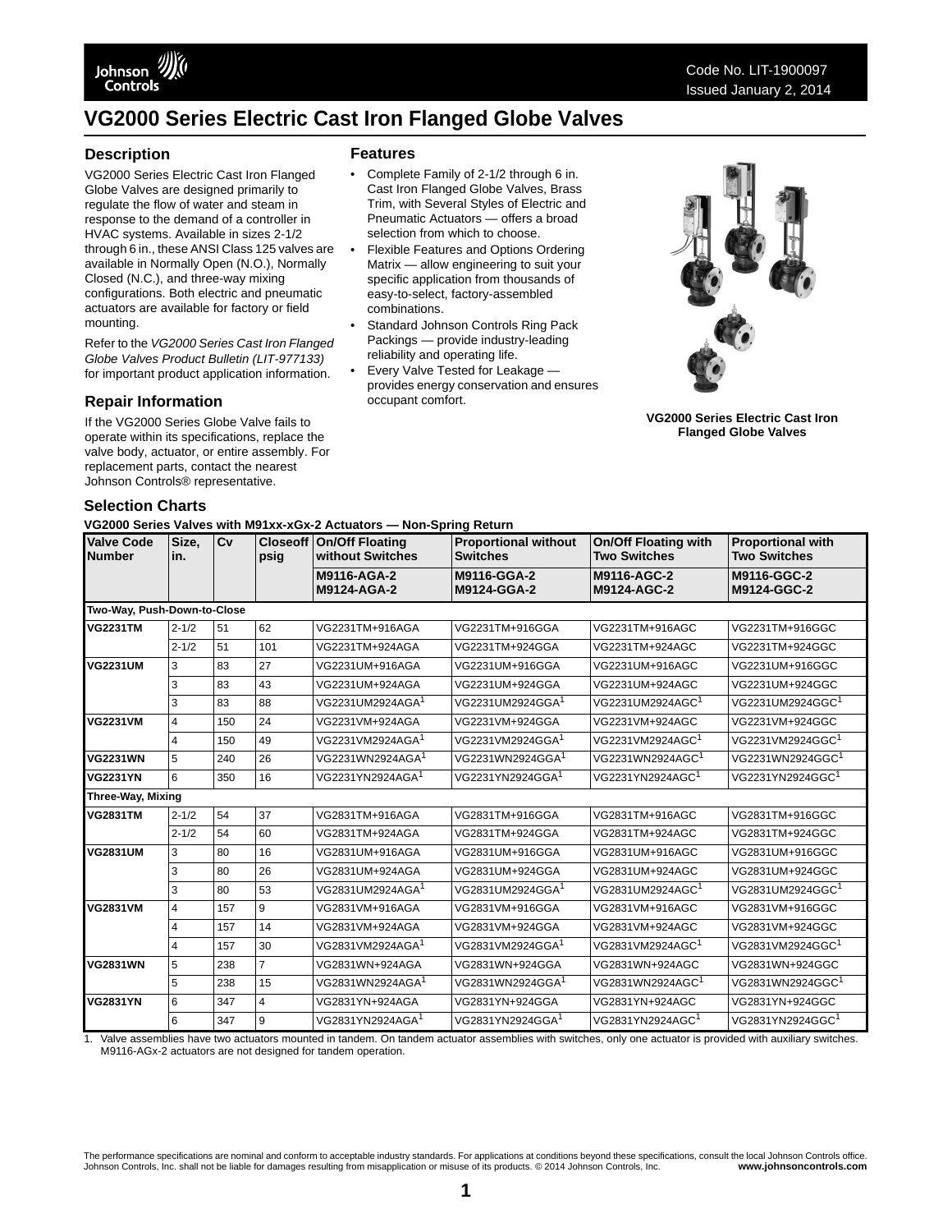# **VG2000 Series Electric Cast Iron Flanged Globe Valves**

### **Description**

VG2000 Series Electric Cast Iron Flanged Globe Valves are designed primarily to regulate the flow of water and steam in response to the demand of a controller in HVAC systems. Available in sizes 2-1/2 through 6 in., these ANSI Class 125 valves are available in Normally Open (N.O.), Normally Closed (N.C.), and three-way mixing configurations. Both electric and pneumatic actuators are available for factory or field mounting.

Refer to the *VG2000 Series Cast Iron Flanged Globe Valves Product Bulletin (LIT-977133)*  for important product application information.

### **Repair Information**

If the VG2000 Series Globe Valve fails to operate within its specifications, replace the valve body, actuator, or entire assembly. For replacement parts, contact the nearest Johnson Controls® representative.

### **Features**

- Complete Family of 2-1/2 through 6 in. Cast Iron Flanged Globe Valves, Brass Trim, with Several Styles of Electric and Pneumatic Actuators — offers a broad selection from which to choose.
- Flexible Features and Options Ordering Matrix — allow engineering to suit your specific application from thousands of easy-to-select, factory-assembled combinations.
- Standard Johnson Controls Ring Pack Packings — provide industry-leading reliability and operating life.
- Every Valve Tested for Leakage provides energy conservation and ensures occupant comfort.



**VG2000 Series Electric Cast Iron Flanged Globe Valves**

### **Selection Charts**

**VG2000 Series Valves with M91xx-xGx-2 Actuators — Non-Spring Return**

| <b>Valve Code</b><br><b>Number</b> | Size.<br>in.   | Cv  | psig           | <b>Closeoff On/Off Floating</b><br>without Switches | <b>Proportional without</b><br><b>Switches</b> | <b>On/Off Floating with</b><br><b>Two Switches</b> | <b>Proportional with</b><br><b>Two Switches</b> |
|------------------------------------|----------------|-----|----------------|-----------------------------------------------------|------------------------------------------------|----------------------------------------------------|-------------------------------------------------|
|                                    |                |     |                | M9116-AGA-2<br>M9124-AGA-2                          | M9116-GGA-2<br>M9124-GGA-2                     | M9116-AGC-2<br>M9124-AGC-2                         | M9116-GGC-2<br>M9124-GGC-2                      |
| Two-Way, Push-Down-to-Close        |                |     |                |                                                     |                                                |                                                    |                                                 |
| <b>VG2231TM</b>                    | $2 - 1/2$      | 51  | 62             | VG2231TM+916AGA                                     | VG2231TM+916GGA                                | VG2231TM+916AGC                                    | VG2231TM+916GGC                                 |
|                                    | $2 - 1/2$      | 51  | 101            | VG2231TM+924AGA                                     | VG2231TM+924GGA                                | VG2231TM+924AGC                                    | VG2231TM+924GGC                                 |
| <b>VG2231UM</b>                    | 3              | 83  | 27             | VG2231UM+916AGA                                     | VG2231UM+916GGA                                | VG2231UM+916AGC                                    | VG2231UM+916GGC                                 |
|                                    | 3              | 83  | 43             | VG2231UM+924AGA                                     | VG2231UM+924GGA                                | VG2231UM+924AGC                                    | VG2231UM+924GGC                                 |
|                                    | 3              | 83  | 88             | VG2231UM2924AGA <sup>1</sup>                        | VG2231UM2924GGA <sup>1</sup>                   | VG2231UM2924AGC <sup>1</sup>                       | VG2231UM2924GGC <sup>1</sup>                    |
| <b>VG2231VM</b>                    | $\overline{4}$ | 150 | 24             | VG2231VM+924AGA                                     | VG2231VM+924GGA                                | VG2231VM+924AGC                                    | VG2231VM+924GGC                                 |
|                                    | $\overline{4}$ | 150 | 49             | VG2231VM2924AGA <sup>1</sup>                        | VG2231VM2924GGA <sup>1</sup>                   | VG2231VM2924AGC <sup>1</sup>                       | VG2231VM2924GGC <sup>1</sup>                    |
| <b>VG2231WN</b>                    | 5              | 240 | 26             | VG2231WN2924AGA <sup>1</sup>                        | VG2231WN2924GGA <sup>1</sup>                   | VG2231WN2924AGC <sup>1</sup>                       | VG2231WN2924GGC <sup>1</sup>                    |
| <b>VG2231YN</b>                    | 6              | 350 | 16             | VG2231YN2924AGA <sup>1</sup>                        | VG2231YN2924GGA <sup>1</sup>                   | VG2231YN2924AGC <sup>1</sup>                       | VG2231YN2924GGC <sup>1</sup>                    |
| Three-Way, Mixing                  |                |     |                |                                                     |                                                |                                                    |                                                 |
| <b>VG2831TM</b>                    | $2 - 1/2$      | 54  | 37             | VG2831TM+916AGA                                     | VG2831TM+916GGA                                | VG2831TM+916AGC                                    | VG2831TM+916GGC                                 |
|                                    | $2 - 1/2$      | 54  | 60             | VG2831TM+924AGA                                     | VG2831TM+924GGA                                | VG2831TM+924AGC                                    | VG2831TM+924GGC                                 |
| <b>VG2831UM</b>                    | 3              | 80  | 16             | VG2831UM+916AGA                                     | VG2831UM+916GGA                                | VG2831UM+916AGC                                    | VG2831UM+916GGC                                 |
|                                    | 3              | 80  | 26             | VG2831UM+924AGA                                     | VG2831UM+924GGA                                | VG2831UM+924AGC                                    | VG2831UM+924GGC                                 |
|                                    | 3              | 80  | 53             | VG2831UM2924AGA <sup>1</sup>                        | VG2831UM2924GGA <sup>1</sup>                   | VG2831UM2924AGC <sup>1</sup>                       | VG2831UM2924GGC <sup>1</sup>                    |
| <b>VG2831VM</b>                    | $\overline{4}$ | 157 | 9              | VG2831VM+916AGA                                     | VG2831VM+916GGA                                | VG2831VM+916AGC                                    | VG2831VM+916GGC                                 |
|                                    | 4              | 157 | 14             | VG2831VM+924AGA                                     | VG2831VM+924GGA                                | VG2831VM+924AGC                                    | VG2831VM+924GGC                                 |
|                                    | $\overline{4}$ | 157 | 30             | VG2831VM2924AGA <sup>1</sup>                        | VG2831VM2924GGA <sup>1</sup>                   | VG2831VM2924AGC <sup>1</sup>                       | VG2831VM2924GGC <sup>1</sup>                    |
| <b>VG2831WN</b>                    | 5              | 238 | $\overline{7}$ | VG2831WN+924AGA                                     | VG2831WN+924GGA                                | VG2831WN+924AGC                                    | VG2831WN+924GGC                                 |
|                                    | 5              | 238 | 15             | VG2831WN2924AGA <sup>1</sup>                        | VG2831WN2924GGA <sup>1</sup>                   | VG2831WN2924AGC <sup>1</sup>                       | VG2831WN2924GGC <sup>1</sup>                    |
| <b>VG2831YN</b>                    | 6              | 347 | $\overline{4}$ | VG2831YN+924AGA                                     | VG2831YN+924GGA                                | VG2831YN+924AGC                                    | VG2831YN+924GGC                                 |
|                                    | 6              | 347 | 9              | VG2831YN2924AGA <sup>1</sup>                        | VG2831YN2924GGA <sup>1</sup>                   | VG2831YN2924AGC <sup>1</sup>                       | VG2831YN2924GGC <sup>1</sup>                    |

<span id="page-0-0"></span>1. Valve assemblies have two actuators mounted in tandem. On tandem actuator assemblies with switches, only one actuator is provided with auxiliary switches. M9116-AGx-2 actuators are not designed for tandem operation.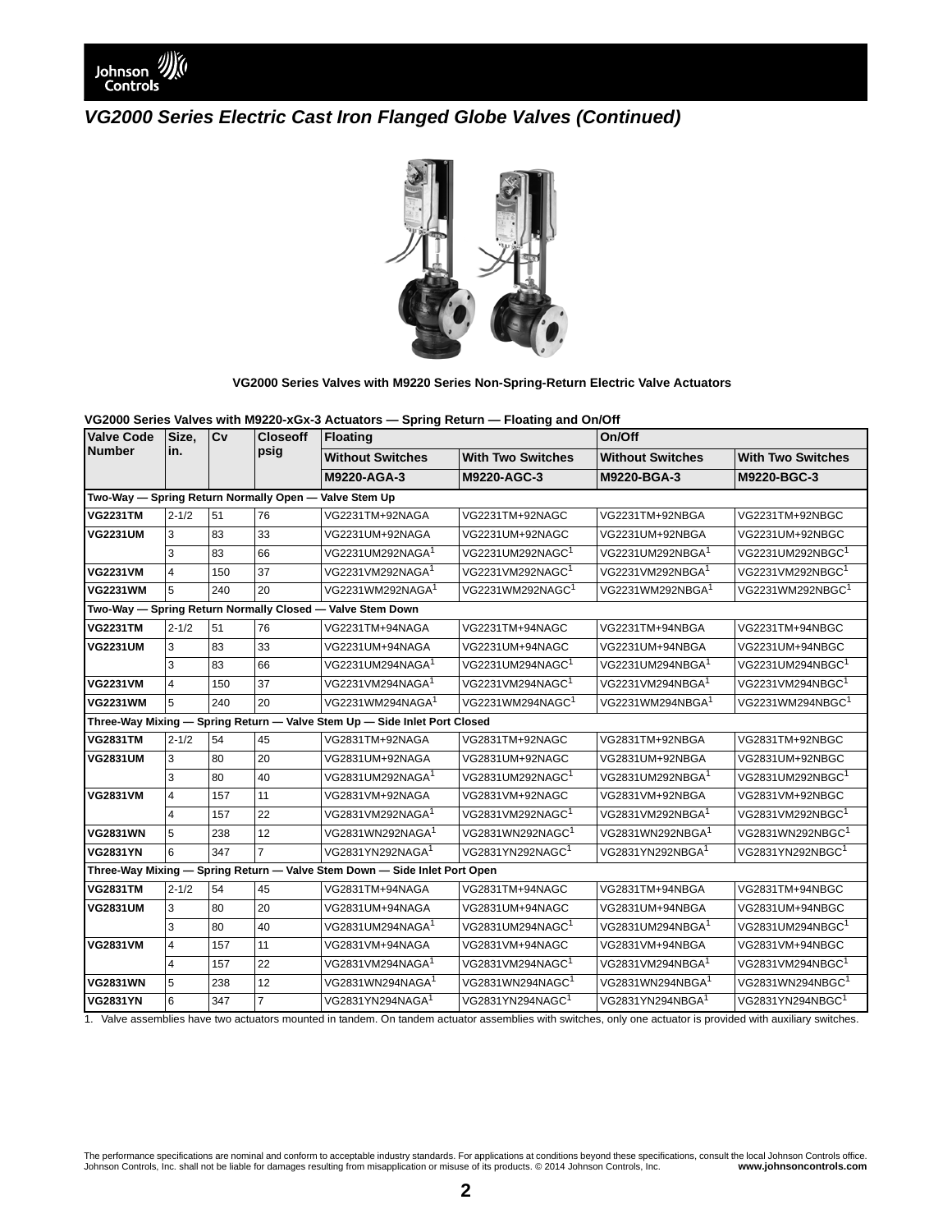



#### **VG2000 Series Valves with M9220 Series Non-Spring-Return Electric Valve Actuators**

**VG2000 Series Valves with M9220-xGx-3 Actuators — Spring Return — Floating and On/Off**

| <b>Valve Code</b> | Size.<br>in.                                                              | Cv  | <b>Closeoff</b><br>psig | <b>Floating</b>                                                           |                              | On/Off                       |                              |  |  |  |
|-------------------|---------------------------------------------------------------------------|-----|-------------------------|---------------------------------------------------------------------------|------------------------------|------------------------------|------------------------------|--|--|--|
| <b>Number</b>     |                                                                           |     |                         | <b>Without Switches</b>                                                   | <b>With Two Switches</b>     | <b>Without Switches</b>      | <b>With Two Switches</b>     |  |  |  |
|                   |                                                                           |     |                         | M9220-AGA-3                                                               | M9220-AGC-3                  | M9220-BGA-3                  | M9220-BGC-3                  |  |  |  |
|                   |                                                                           |     |                         | Two-Way - Spring Return Normally Open - Valve Stem Up                     |                              |                              |                              |  |  |  |
| <b>VG2231TM</b>   | $2 - 1/2$                                                                 | 51  | 76                      | VG2231TM+92NAGA                                                           | VG2231TM+92NAGC              | VG2231TM+92NBGA              | VG2231TM+92NBGC              |  |  |  |
| <b>VG2231UM</b>   | 3                                                                         | 83  | 33                      | VG2231UM+92NAGA                                                           | VG2231UM+92NAGC              | VG2231UM+92NBGA              | VG2231UM+92NBGC              |  |  |  |
|                   | 3                                                                         | 83  | 66                      | VG2231UM292NAGA <sup>1</sup>                                              | VG2231UM292NAGC <sup>1</sup> | VG2231UM292NBGA <sup>1</sup> | VG2231UM292NBGC <sup>1</sup> |  |  |  |
| <b>VG2231VM</b>   | $\overline{4}$                                                            | 150 | 37                      | VG2231VM292NAGA <sup>1</sup>                                              | VG2231VM292NAGC <sup>1</sup> | VG2231VM292NBGA <sup>1</sup> | VG2231VM292NBGC <sup>1</sup> |  |  |  |
| <b>VG2231WM</b>   | 5                                                                         | 240 | 20                      | VG2231WM292NAGA <sup>1</sup>                                              | VG2231WM292NAGC <sup>1</sup> | VG2231WM292NBGA <sup>1</sup> | VG2231WM292NBGC <sup>1</sup> |  |  |  |
|                   |                                                                           |     |                         | Two-Way - Spring Return Normally Closed - Valve Stem Down                 |                              |                              |                              |  |  |  |
| <b>VG2231TM</b>   | $2 - 1/2$                                                                 | 51  | 76                      | VG2231TM+94NAGA                                                           | VG2231TM+94NAGC              | VG2231TM+94NBGA              | VG2231TM+94NBGC              |  |  |  |
| <b>VG2231UM</b>   | 3                                                                         | 83  | 33                      | VG2231UM+94NAGA                                                           | VG2231UM+94NAGC              | VG2231UM+94NBGA              | VG2231UM+94NBGC              |  |  |  |
|                   | 3                                                                         | 83  | 66                      | VG2231UM294NAGA <sup>1</sup>                                              | VG2231UM294NAGC <sup>1</sup> | VG2231UM294NBGA <sup>1</sup> | VG2231UM294NBGC <sup>1</sup> |  |  |  |
| <b>VG2231VM</b>   | $\overline{4}$                                                            | 150 | 37                      | VG2231VM294NAGA <sup>1</sup>                                              | VG2231VM294NAGC <sup>1</sup> | VG2231VM294NBGA <sup>1</sup> | VG2231VM294NBGC <sup>1</sup> |  |  |  |
| <b>VG2231WM</b>   | 5                                                                         | 240 | 20                      | VG2231WM294NAGA <sup>1</sup>                                              | VG2231WM294NAGC <sup>1</sup> | VG2231WM294NBGA <sup>1</sup> | VG2231WM294NBGC <sup>1</sup> |  |  |  |
|                   | Three-Way Mixing - Spring Return - Valve Stem Up - Side Inlet Port Closed |     |                         |                                                                           |                              |                              |                              |  |  |  |
| <b>VG2831TM</b>   | $2 - 1/2$                                                                 | 54  | 45                      | VG2831TM+92NAGA                                                           | VG2831TM+92NAGC              | VG2831TM+92NBGA              | VG2831TM+92NBGC              |  |  |  |
| <b>VG2831UM</b>   | 3                                                                         | 80  | 20                      | VG2831UM+92NAGA                                                           | VG2831UM+92NAGC              | VG2831UM+92NBGA              | VG2831UM+92NBGC              |  |  |  |
|                   | 3                                                                         | 80  | 40                      | VG2831UM292NAGA <sup>1</sup>                                              | VG2831UM292NAGC <sup>1</sup> | VG2831UM292NBGA <sup>1</sup> | VG2831UM292NBGC <sup>1</sup> |  |  |  |
| <b>VG2831VM</b>   | $\overline{4}$                                                            | 157 | 11                      | VG2831VM+92NAGA                                                           | VG2831VM+92NAGC              | VG2831VM+92NBGA              | VG2831VM+92NBGC              |  |  |  |
|                   | $\overline{4}$                                                            | 157 | 22                      | VG2831VM292NAGA <sup>1</sup>                                              | VG2831VM292NAGC <sup>1</sup> | VG2831VM292NBGA <sup>1</sup> | VG2831VM292NBGC <sup>1</sup> |  |  |  |
| <b>VG2831WN</b>   | 5                                                                         | 238 | 12                      | VG2831WN292NAGA <sup>1</sup>                                              | VG2831WN292NAGC <sup>1</sup> | VG2831WN292NBGA <sup>1</sup> | VG2831WN292NBGC <sup>1</sup> |  |  |  |
| <b>VG2831YN</b>   | 6                                                                         | 347 | $\overline{7}$          | VG2831YN292NAGA <sup>1</sup>                                              | VG2831YN292NAGC <sup>1</sup> | VG2831YN292NBGA <sup>1</sup> | VG2831YN292NBGC <sup>1</sup> |  |  |  |
|                   |                                                                           |     |                         | Three-Way Mixing - Spring Return - Valve Stem Down - Side Inlet Port Open |                              |                              |                              |  |  |  |
| <b>VG2831TM</b>   | $2 - 1/2$                                                                 | 54  | 45                      | VG2831TM+94NAGA                                                           | VG2831TM+94NAGC              | VG2831TM+94NBGA              | VG2831TM+94NBGC              |  |  |  |
| <b>VG2831UM</b>   | 3                                                                         | 80  | 20                      | VG2831UM+94NAGA                                                           | VG2831UM+94NAGC              | VG2831UM+94NBGA              | VG2831UM+94NBGC              |  |  |  |
|                   | 3                                                                         | 80  | 40                      | VG2831UM294NAGA <sup>1</sup>                                              | VG2831UM294NAGC <sup>1</sup> | VG2831UM294NBGA <sup>1</sup> | VG2831UM294NBGC <sup>1</sup> |  |  |  |
| <b>VG2831VM</b>   | $\overline{4}$                                                            | 157 | 11                      | VG2831VM+94NAGA                                                           | VG2831VM+94NAGC              | VG2831VM+94NBGA              | VG2831VM+94NBGC              |  |  |  |
|                   | $\overline{4}$                                                            | 157 | 22                      | VG2831VM294NAGA <sup>1</sup>                                              | VG2831VM294NAGC <sup>1</sup> | VG2831VM294NBGA <sup>1</sup> | VG2831VM294NBGC <sup>1</sup> |  |  |  |
| <b>VG2831WN</b>   | 5                                                                         | 238 | 12                      | VG2831WN294NAGA <sup>1</sup>                                              | VG2831WN294NAGC <sup>1</sup> | VG2831WN294NBGA <sup>1</sup> | VG2831WN294NBGC <sup>1</sup> |  |  |  |
| <b>VG2831YN</b>   | 6                                                                         | 347 | $\overline{7}$          | VG2831YN294NAGA <sup>1</sup>                                              | VG2831YN294NAGC <sup>1</sup> | VG2831YN294NBGA <sup>1</sup> | VG2831YN294NBGC <sup>1</sup> |  |  |  |

<span id="page-1-0"></span>1. Valve assemblies have two actuators mounted in tandem. On tandem actuator assemblies with switches, only one actuator is provided with auxiliary switches.

The performance specifications are nominal and conform to acceptable industry standards. For applications at conditions beyond these specifications, consult the local Johnson Controls office.<br>Johnson Controls, Inc. www.joh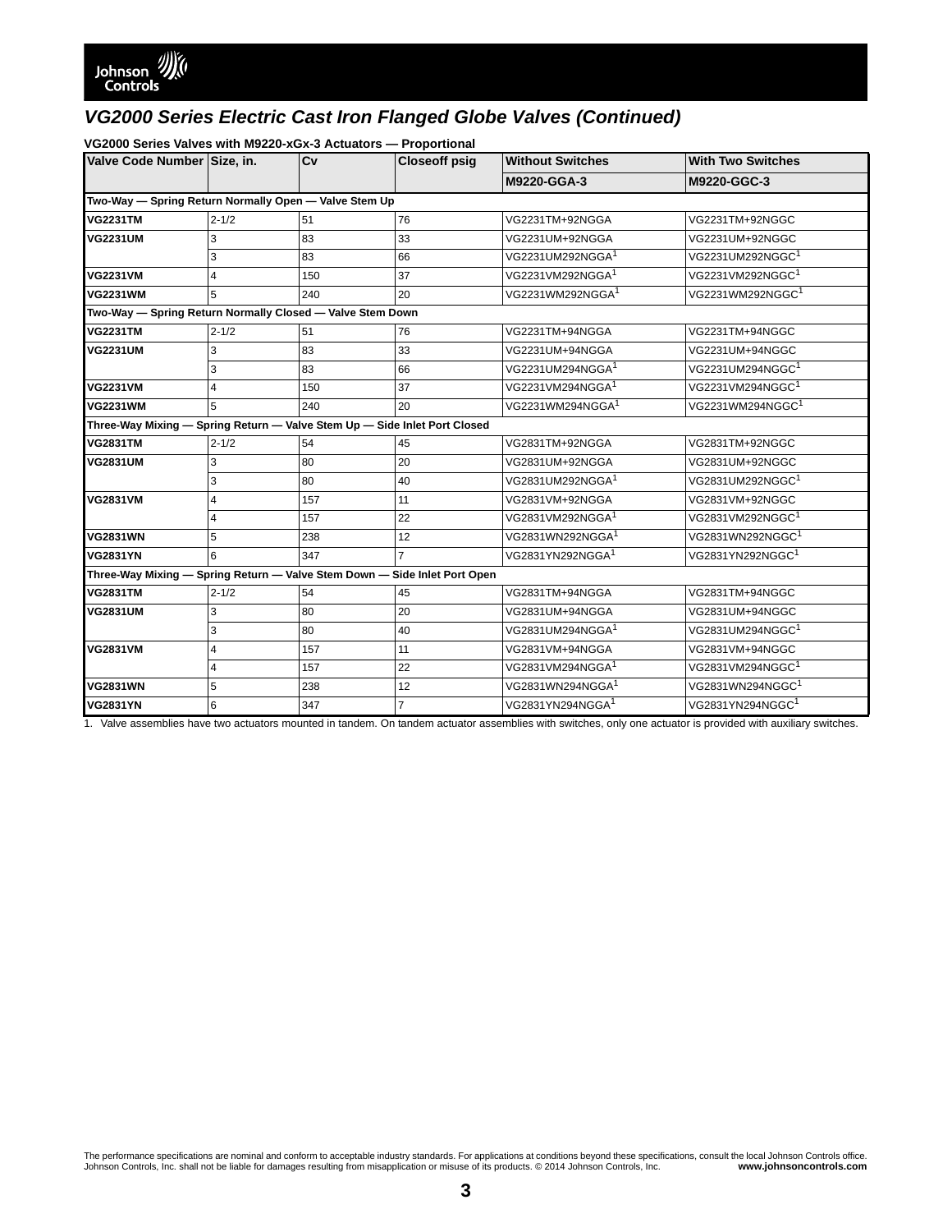### **VG2000 Series Valves with M9220-xGx-3 Actuators — Proportional**

| Valve Code Number Size, in.                                               |                | Cv  | <b>Closeoff psig</b> | <b>Without Switches</b>      | <b>With Two Switches</b>     |  |  |
|---------------------------------------------------------------------------|----------------|-----|----------------------|------------------------------|------------------------------|--|--|
|                                                                           |                |     |                      | M9220-GGA-3                  | M9220-GGC-3                  |  |  |
| Two-Way - Spring Return Normally Open - Valve Stem Up                     |                |     |                      |                              |                              |  |  |
| <b>VG2231TM</b>                                                           | $2 - 1/2$      | 51  | 76                   | VG2231TM+92NGGA              | VG2231TM+92NGGC              |  |  |
| <b>VG2231UM</b>                                                           | 3              | 83  | 33                   | VG2231UM+92NGGA              | VG2231UM+92NGGC              |  |  |
|                                                                           | 3              | 83  | 66                   | VG2231UM292NGGA <sup>1</sup> | VG2231UM292NGGC <sup>1</sup> |  |  |
| <b>VG2231VM</b>                                                           | $\overline{4}$ | 150 | 37                   | VG2231VM292NGGA <sup>1</sup> | VG2231VM292NGGC <sup>1</sup> |  |  |
| <b>VG2231WM</b>                                                           | 5              | 240 | 20                   | VG2231WM292NGGA <sup>1</sup> | VG2231WM292NGGC1             |  |  |
| Two-Way - Spring Return Normally Closed - Valve Stem Down                 |                |     |                      |                              |                              |  |  |
| <b>VG2231TM</b>                                                           | $2 - 1/2$      | 51  | 76                   | VG2231TM+94NGGA              | VG2231TM+94NGGC              |  |  |
| <b>VG2231UM</b>                                                           | 3              | 83  | 33                   | VG2231UM+94NGGA              | VG2231UM+94NGGC              |  |  |
|                                                                           | 3              | 83  | 66                   | VG2231UM294NGGA <sup>1</sup> | VG2231UM294NGGC <sup>1</sup> |  |  |
| <b>VG2231VM</b>                                                           | $\overline{4}$ | 150 | 37                   | VG2231VM294NGGA <sup>1</sup> | VG2231VM294NGGC <sup>1</sup> |  |  |
| <b>VG2231WM</b>                                                           | 5              | 240 | 20                   | VG2231WM294NGGA <sup>1</sup> | VG2231WM294NGGC <sup>1</sup> |  |  |
| Three-Way Mixing — Spring Return — Valve Stem Up — Side Inlet Port Closed |                |     |                      |                              |                              |  |  |
| <b>VG2831TM</b>                                                           | $2 - 1/2$      | 54  | 45                   | VG2831TM+92NGGA              | VG2831TM+92NGGC              |  |  |
| <b>VG2831UM</b>                                                           | 3              | 80  | 20                   | VG2831UM+92NGGA              | VG2831UM+92NGGC              |  |  |
|                                                                           | 3              | 80  | 40                   | VG2831UM292NGGA <sup>1</sup> | VG2831UM292NGGC <sup>1</sup> |  |  |
| <b>VG2831VM</b>                                                           | $\overline{4}$ | 157 | 11                   | VG2831VM+92NGGA              | VG2831VM+92NGGC              |  |  |
|                                                                           | $\overline{4}$ | 157 | 22                   | VG2831VM292NGGA <sup>1</sup> | VG2831VM292NGGC <sup>1</sup> |  |  |
| <b>VG2831WN</b>                                                           | 5              | 238 | 12                   | VG2831WN292NGGA <sup>1</sup> | VG2831WN292NGGC <sup>1</sup> |  |  |
| <b>VG2831YN</b>                                                           | 6              | 347 | $\overline{7}$       | VG2831YN292NGGA <sup>1</sup> | VG2831YN292NGGC <sup>1</sup> |  |  |
| Three-Way Mixing - Spring Return - Valve Stem Down - Side Inlet Port Open |                |     |                      |                              |                              |  |  |
| <b>VG2831TM</b>                                                           | $2 - 1/2$      | 54  | 45                   | VG2831TM+94NGGA              | VG2831TM+94NGGC              |  |  |
| <b>VG2831UM</b>                                                           | 3              | 80  | 20                   | VG2831UM+94NGGA              | VG2831UM+94NGGC              |  |  |
|                                                                           | 3              | 80  | 40                   | VG2831UM294NGGA <sup>1</sup> | VG2831UM294NGGC <sup>1</sup> |  |  |
| <b>VG2831VM</b>                                                           | $\overline{4}$ | 157 | 11                   | VG2831VM+94NGGA              | VG2831VM+94NGGC              |  |  |
|                                                                           | $\overline{4}$ | 157 | 22                   | VG2831VM294NGGA <sup>1</sup> | VG2831VM294NGGC <sup>1</sup> |  |  |
| <b>VG2831WN</b>                                                           | 5              | 238 | 12                   | VG2831WN294NGGA <sup>1</sup> | VG2831WN294NGGC <sup>1</sup> |  |  |
| <b>VG2831YN</b>                                                           | 6              | 347 | $\overline{7}$       | VG2831YN294NGGA <sup>1</sup> | VG2831YN294NGGC <sup>1</sup> |  |  |

<span id="page-2-0"></span>1. Valve assemblies have two actuators mounted in tandem. On tandem actuator assemblies with switches, only one actuator is provided with auxiliary switches.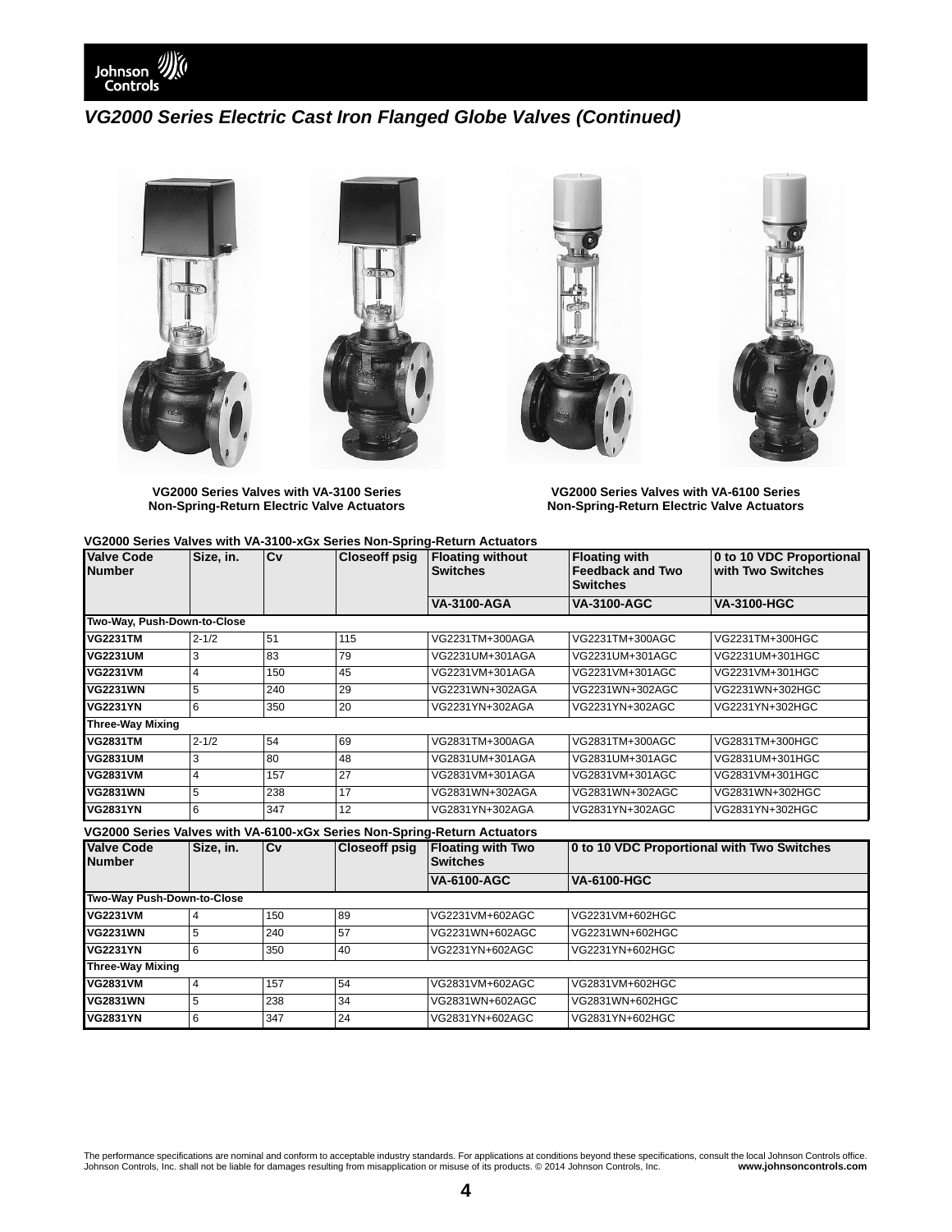



**VG2000 Series Valves with VA-3100 Series Non-Spring-Return Electric Valve Actuators**

**VG2000 Series Valves with VA-6100 Series Non-Spring-Return Electric Valve Actuators**

#### **VG2000 Series Valves with VA-3100-xGx Series Non-Spring-Return Actuators**

| <b>Valve Code</b><br><b>Number</b>                                       | Size, in.      | $\overline{C}$ | <b>Closeoff psig</b> | <b>Floating without</b><br><b>Switches</b>  | <b>Floating with</b><br><b>Feedback and Two</b><br><b>Switches</b> | 0 to 10 VDC Proportional<br>with Two Switches |  |
|--------------------------------------------------------------------------|----------------|----------------|----------------------|---------------------------------------------|--------------------------------------------------------------------|-----------------------------------------------|--|
|                                                                          |                |                |                      | <b>VA-3100-AGA</b>                          | <b>VA-3100-AGC</b>                                                 | <b>VA-3100-HGC</b>                            |  |
| Two-Way, Push-Down-to-Close                                              |                |                |                      |                                             |                                                                    |                                               |  |
| <b>VG2231TM</b>                                                          | $2 - 1/2$      | 51             | 115                  | VG2231TM+300AGA                             | VG2231TM+300AGC                                                    | VG2231TM+300HGC                               |  |
| <b>VG2231UM</b>                                                          | 3              | 83             | 79                   | VG2231UM+301AGA                             | VG2231UM+301AGC                                                    | VG2231UM+301HGC                               |  |
| <b>VG2231VM</b>                                                          | 4              | 150            | 45                   | VG2231VM+301AGA                             | VG2231VM+301AGC                                                    | VG2231VM+301HGC                               |  |
| <b>VG2231WN</b>                                                          | 5              | 240            | 29                   | VG2231WN+302AGA                             | VG2231WN+302AGC                                                    | VG2231WN+302HGC                               |  |
| <b>VG2231YN</b>                                                          | 6              | 350            | 20                   | VG2231YN+302AGA                             | VG2231YN+302AGC                                                    | VG2231YN+302HGC                               |  |
| <b>Three-Way Mixing</b>                                                  |                |                |                      |                                             |                                                                    |                                               |  |
| <b>VG2831TM</b>                                                          | $2 - 1/2$      | 54             | 69                   | VG2831TM+300AGA                             | VG2831TM+300AGC                                                    | VG2831TM+300HGC                               |  |
| <b>VG2831UM</b>                                                          | 3              | 80             | 48                   | VG2831UM+301AGA                             | VG2831UM+301AGC                                                    | VG2831UM+301HGC                               |  |
| <b>VG2831VM</b>                                                          | 4              | 157            | 27                   | VG2831VM+301AGA                             | VG2831VM+301AGC                                                    | VG2831VM+301HGC                               |  |
| <b>VG2831WN</b>                                                          | 5              | 238            | 17                   | VG2831WN+302AGA                             | VG2831WN+302AGC                                                    | VG2831WN+302HGC                               |  |
| <b>VG2831YN</b>                                                          | 6              | 347            | 12                   | VG2831YN+302AGA                             | VG2831YN+302AGC                                                    | VG2831YN+302HGC                               |  |
| VG2000 Series Valves with VA-6100-xGx Series Non-Spring-Return Actuators |                |                |                      |                                             |                                                                    |                                               |  |
| <b>Valve Code</b><br><b>Number</b>                                       | Size, in.      | $\mathbf{C}$ v | <b>Closeoff psig</b> | <b>Floating with Two</b><br><b>Switches</b> | 0 to 10 VDC Proportional with Two Switches                         |                                               |  |
|                                                                          |                |                |                      | <b>VA-6100-AGC</b>                          | <b>VA-6100-HGC</b>                                                 |                                               |  |
| Two-Way Push-Down-to-Close                                               |                |                |                      |                                             |                                                                    |                                               |  |
| <b>VG2231VM</b>                                                          | $\overline{4}$ | 150            | 89                   | VG2231VM+602AGC                             | VG2231VM+602HGC                                                    |                                               |  |
| <b>VG2231WN</b>                                                          | 5              | 240            | 57                   | VG2231WN+602AGC                             | VG2231WN+602HGC                                                    |                                               |  |
| <b>VG2231YN</b>                                                          | 6              | 350            | 40                   | VG2231YN+602AGC                             | VG2231YN+602HGC                                                    |                                               |  |

| IVG2231YN               | b | 350 | 140 | I VG2231 YN+602AGC | I VG2231 YN+602HGC |  |
|-------------------------|---|-----|-----|--------------------|--------------------|--|
| <b>Three-Way Mixing</b> |   |     |     |                    |                    |  |
| <b>VG2831VM</b>         |   | 157 | 154 | VG2831VM+602AGC    | VG2831VM+602HGC    |  |
| <b>VG2831WN</b>         |   | 238 | 34  | VG2831WN+602AGC    | VG2831WN+602HGC    |  |
| <b>VG2831YN</b>         |   | 347 | 24  | VG2831YN+602AGC    | VG2831YN+602HGC    |  |
|                         |   |     |     |                    |                    |  |